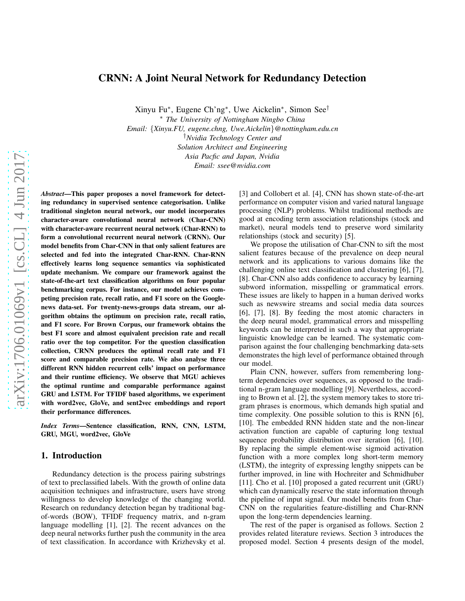## CRNN: A Joint Neural Network for Redundancy Detection

Xinyu Fu<sup>∗</sup> , Eugene Ch'ng<sup>∗</sup> , Uwe Aickelin<sup>∗</sup> , Simon See†

<sup>∗</sup> *The University of Nottingham Ningbo China Email:* {*Xinyu.FU, eugene.chng, Uwe.Aickelin*}*@nottingham.edu.cn* †*Nvidia Technology Center and Solution Architect and Engineering Asia Pacfic and Japan, Nvidia Email: ssee@nvidia.com*

*Abstract*—This paper proposes a novel framework for detecting redundancy in supervised sentence categorisation. Unlike traditional singleton neural network, our model incorporates character-aware convolutional neural network (Char-CNN) with character-aware recurrent neural network (Char-RNN) to form a convolutional recurrent neural network (CRNN). Our model benefits from Char-CNN in that only salient features are selected and fed into the integrated Char-RNN. Char-RNN effectively learns long sequence semantics via sophisticated update mechanism. We compare our framework against the state-of-the-art text classification algorithms on four popular benchmarking corpus. For instance, our model achieves competing precision rate, recall ratio, and F1 score on the Googlenews data-set. For twenty-news-groups data stream, our algorithm obtains the optimum on precision rate, recall ratio, and F1 score. For Brown Corpus, our framework obtains the best F1 score and almost equivalent precision rate and recall ratio over the top competitor. For the question classification collection, CRNN produces the optimal recall rate and F1 score and comparable precision rate. We also analyse three different RNN hidden recurrent cells' impact on performance and their runtime efficiency. We observe that MGU achieves the optimal runtime and comparable performance against GRU and LSTM. For TFIDF based algorithms, we experiment with word2vec, GloVe, and sent2vec embeddings and report their performance differences.

*Index Terms*—Sentence classification, RNN, CNN, LSTM, GRU, MGU, word2vec, GloVe

#### 1. Introduction

Redundancy detection is the process pairing substrings of text to preclassified labels. With the growth of online data acquisition techniques and infrastructure, users have strong willingness to develop knowledge of the changing world. Research on redundancy detection began by traditional bagof-words (BOW), TFIDF frequency matrix, and n-gram language modelling [1], [2]. The recent advances on the deep neural networks further push the community in the area of text classification. In accordance with Krizhevsky et al. [3] and Collobert et al. [4], CNN has shown state-of-the-art performance on computer vision and varied natural language processing (NLP) problems. Whilst traditional methods are good at encoding term association relationships (stock and market), neural models tend to preserve word similarity relationships (stock and security) [5].

We propose the utilisation of Char-CNN to sift the most salient features because of the prevalence on deep neural network and its applications to various domains like the challenging online text classification and clustering [6], [7], [8]. Char-CNN also adds confidence to accuracy by learning subword information, misspelling or grammatical errors. These issues are likely to happen in a human derived works such as newswire streams and social media data sources [6], [7], [8]. By feeding the most atomic characters in the deep neural model, grammatical errors and misspelling keywords can be interpreted in such a way that appropriate linguistic knowledge can be learned. The systematic comparison against the four challenging benchmarking data-sets demonstrates the high level of performance obtained through our model.

Plain CNN, however, suffers from remembering longterm dependencies over sequences, as opposed to the traditional n-gram language modelling [9]. Nevertheless, according to Brown et al. [2], the system memory takes to store trigram phrases is enormous, which demands high spatial and time complexity. One possible solution to this is RNN [6], [10]. The embedded RNN hidden state and the non-linear activation function are capable of capturing long textual sequence probability distribution over iteration [6], [10]. By replacing the simple element-wise sigmoid activation function with a more complex long short-term memory (LSTM), the integrity of expressing lengthy snippets can be further improved, in line with Hochreiter and Schmidhuber [11]. Cho et al. [10] proposed a gated recurrent unit (GRU) which can dynamically reserve the state information through the pipeline of input signal. Our model benefits from Char-CNN on the regularities feature-distilling and Char-RNN upon the long-term dependencies learning.

The rest of the paper is organised as follows. Section 2 provides related literature reviews. Section 3 introduces the proposed model. Section 4 presents design of the model,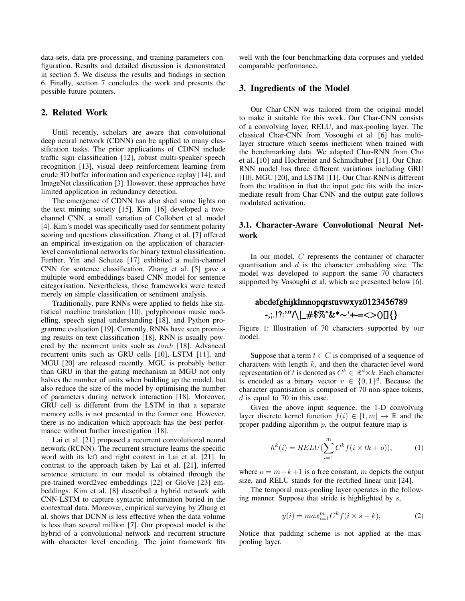data-sets, data pre-processing, and training parameters configuration. Results and detailed discussion is demonstrated in section 5. We discuss the results and findings in section 6. Finally, section 7 concludes the work and presents the possible future pointers.

# 2. Related Work

Until recently, scholars are aware that convolutional deep neural network (CDNN) can be applied to many classification tasks. The prior applications of CDNN include traffic sign classification [12], robust multi-speaker speech recognition [13], visual deep reinforcement learning from crude 3D buffer information and experience replay [14], and ImageNet classification [3]. However, these approaches have limited application in redundancy detection.

The emergence of CDNN has also shed some lights on the text mining society [15]. Kim [16] developed a twochannel CNN, a small variation of Collobert et al. model [4]. Kim's model was specifically used for sentiment polarity scoring and questions classification. Zhang et al. [7] offered an empirical investigation on the application of characterlevel convolutional networks for binary textual classification. Further, Yin and Schutze [17] exhibited a multi-channel CNN for sentence classification. Zhang et al. [5] gave a multiple word embeddings based CNN model for sentence categorisation. Nevertheless, those frameworks were tested merely on simple classification or sentiment analysis.

Traditionally, pure RNNs were applied to fields like statistical machine translation [10], polyphonous music modelling, speech signal understanding [18], and Python programme evaluation [19]. Currently, RNNs have seen promising results on text classification [18]. RNN is usually powered by the recurrent units such as tanh [18]. Advanced recurrent units such as GRU cells [10], LSTM [11], and MGU [20] are released recently. MGU is probably better than GRU in that the gating mechanism in MGU not only halves the number of units when building up the model, but also reduce the size of the model by optimising the number of parameters during network interaction [18]. Moreover, GRU cell is different from the LSTM in that a separate memory cells is not presented in the former one. However, there is no indication which approach has the best performance without further investigation [18].

Lai et al. [21] proposed a recurrent convolutional neural network (RCNN). The recurrent structure learns the specific word with its left and right context in Lai et al. [21]. In contrast to the approach taken by Lai et al. [21], inferred sentence structure in our model is obtained through the pre-trained word2vec embeddings [22] or GloVe [23] embeddings. Kim et al. [8] described a hybrid network with CNN-LSTM to capture syntactic information buried in the contextual data. Moreover, empirical surveying by Zhang et al. shows that DCNN is less effective when the data volume is less than several million [7]. Our proposed model is the hybrid of a convolutional network and recurrent structure with character level encoding. The joint framework fits well with the four benchmarking data corpuses and yielded comparable performance.

## 3. Ingredients of the Model

Our Char-CNN was tailored from the original model to make it suitable for this work. Our Char-CNN consists of a convolving layer, RELU, and max-pooling layer. The classical Char-CNN from Vosoughi et al. [6] has multilayer structure which seems inefficient when trained with the benchmarking data. We adapted Char-RNN from Cho et al. [10] and Hochreiter and Schmidhuber [11]. Our Char-RNN model has three different variations including GRU [10], MGU [20], and LSTM [11]. Our Char-RNN is different from the tradition in that the input gate fits with the intermediate result from Char-CNN and the output gate follows modulated activation.

# 3.1. Character-Aware Convolutional Neural Network

In our model, C represents the container of character quantisation and  $d$  is the character embedding size. The model was developed to support the same 70 characters supported by Vosoughi et al, which are presented below [6].

# abcdefghijklmnopqrstuvwxyz0123456789  $-$ ;:.!?:'" $\wedge$ | #\$%^&\*~'+-=<>()[]{}

Figure 1: Illustration of 70 characters supported by our model.

Suppose that a term  $t \in C$  is comprised of a sequence of characters with length  $k$ , and then the character-level word representation of t is denoted as  $C^k \in \mathbb{R}^d \times k$ . Each character is encoded as a binary vector  $v \in \{0,1\}^d$ . Because the character quantisation is composed of 70 non-space tokens, d is equal to 70 in this case.

Given the above input sequence, the 1-D convolving layer discrete kernel function  $f(i) \in [1, m] \rightarrow \mathbb{R}$  and the proper padding algorithm  $p$ , the output feature map is

$$
h^{k}(i) = RELU(\sum_{i=1}^{m} C^{k} f(i \times tk + o)), \qquad (1)
$$

where  $o = m - k + 1$  is a free constant, m depicts the output size, and RELU stands for the rectified linear unit [24].

The temporal max-pooling layer operates in the following manner. Suppose that stride is highlighted by s,

$$
y(i) = max_{i=1}^{m} C^{k} f(i \times s - k), \qquad (2)
$$

Notice that padding scheme is not applied at the maxpooling layer.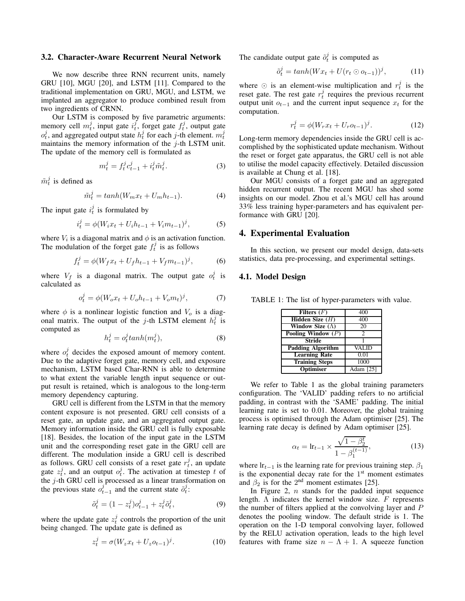#### 3.2. Character-Aware Recurrent Neural Network

We now describe three RNN recurrent units, namely GRU [10], MGU [20], and LSTM [11]. Compared to the traditional implementation on GRU, MGU, and LSTM, we implanted an aggregator to produce combined result from two ingredients of CRNN.

Our LSTM is composed by five parametric arguments: memory cell  $m_t^j$ , input gate  $i_t^j$ , forget gate  $f_t^j$ , output gate  $o_t^j$ , and aggregated output state  $h_t^j$  for each j-th element.  $m_t^j$ maintains the memory information of the  $j$ -th LSTM unit. The update of the memory cell is formulated as

$$
m_t^j = f_t^j c_{t-1}^j + i_t^j \tilde{m}_t^j.
$$
 (3)

 $\tilde{m}^j_t$  is defined as

$$
\tilde{m}_t^j = \tanh(W_m x_t + U_m h_{t-1}).\tag{4}
$$

The input gate  $i_t^j$  is formulated by

$$
i_t^j = \phi(W_i x_t + U_i h_{t-1} + V_i m_{t-1})^j, \tag{5}
$$

where  $V_i$  is a diagonal matrix and  $\phi$  is an activation function. The modulation of the forget gate  $f_t^j$  is as follows

$$
f_t^j = \phi(W_f x_t + U_f h_{t-1} + V_f m_{t-1})^j, \tag{6}
$$

where  $V_f$  is a diagonal matrix. The output gate  $o_t^j$  is calculated as

$$
o_t^j = \phi(W_o x_t + U_o h_{t-1} + V_o m_t)^j, \tag{7}
$$

where  $\phi$  is a nonlinear logistic function and  $V_o$  is a diagonal matrix. The output of the j-th LSTM element  $h_t^j$  is computed as

$$
h_t^j = o_t^j \tanh(m_t^j),\tag{8}
$$

where  $o_t^j$  decides the exposed amount of memory content. Due to the adaptive forget gate, memory cell, and exposure mechanism, LSTM based Char-RNN is able to determine to what extent the variable length input sequence or output result is retained, which is analogous to the long-term memory dependency capturing.

GRU cell is different from the LSTM in that the memory content exposure is not presented. GRU cell consists of a reset gate, an update gate, and an aggregated output gate. Memory information inside the GRU cell is fully exposable [18]. Besides, the location of the input gate in the LSTM unit and the corresponding reset gate in the GRU cell are different. The modulation inside a GRU cell is described as follows. GRU cell consists of a reset gate  $r_t^j$ , an update gate  $z_t^j$ , and an output  $o_t^j$ . The activation at timestep t of the j-th GRU cell is processed as a linear transformation on the previous state  $o_{t-1}^j$  and the current state  $\tilde{o}_t^j$ :

$$
\tilde{o}_t^j = (1 - z_t^j) o_{t-1}^j + z_t^j \tilde{o}_t^j,\tag{9}
$$

where the update gate  $z_t^j$  controls the proportion of the unit being changed. The update gate is defined as

$$
z_t^j = \sigma (W_z x_t + U_z o_{t-1})^j.
$$
 (10)

The candidate output gate  $\tilde{o}_t^j$  is computed as

$$
\tilde{o}_t^j = \tanh(Wx_t + U(r_t \odot o_{t-1}))^j, \tag{11}
$$

where  $\odot$  is an element-wise multiplication and  $r_t^j$  is the reset gate. The rest gate  $r_t^j$  requires the previous recurrent output unit  $o_{t-1}$  and the current input sequence  $x_t$  for the computation.

$$
r_t^j = \phi(W_r x_t + U_r o_{t-1})^j.
$$
 (12)

Long-term memory dependencies inside the GRU cell is accomplished by the sophisticated update mechanism. Without the reset or forget gate apparatus, the GRU cell is not able to utilise the model capacity effectively. Detailed discussion is available at Chung et al. [18].

Our MGU consists of a forget gate and an aggregated hidden recurrent output. The recent MGU has shed some insights on our model. Zhou et al.'s MGU cell has around 33% less training hyper-parameters and has equivalent performance with GRU [20].

#### 4. Experimental Evaluation

In this section, we present our model design, data-sets statistics, data pre-processing, and experimental settings.

#### 4.1. Model Design

TABLE 1: The list of hyper-parameters with value.

| Filters $(F)$            | 400            |
|--------------------------|----------------|
| Hidden Size $(H)$        | 400            |
| Window Size $(\Lambda)$  | 20             |
| Pooling Window $(P)$     | $\mathfrak{D}$ |
| <b>Stride</b>            |                |
| <b>Padding Algorithm</b> | <b>VALID</b>   |
| <b>Learning Rate</b>     | 0.01           |
| <b>Training Steps</b>    | 1000           |
| <b>Optimiser</b>         | Adam [25]      |

We refer to Table 1 as the global training parameters configuration. The 'VALID' padding refers to no artificial padding, in contrast with the 'SAME' padding. The initial learning rate is set to 0.01. Moreover, the global training process is optimised through the Adam optimiser [25]. The learning rate decay is defined by Adam optimiser [25].

$$
\alpha_t = \ln_{t-1} \times \frac{\sqrt{1 - \beta_2^t}}{1 - \beta_1^{(t-1)}},
$$
\n(13)

where  $\text{lr}_{t-1}$  is the learning rate for previous training step.  $\beta_1$ is the exponential decay rate for the  $1<sup>st</sup>$  moment estimates and  $\beta_2$  is for the 2<sup>nd</sup> moment estimates [25].

In Figure 2,  $n$  stands for the padded input sequence length.  $\Lambda$  indicates the kernel window size.  $F$  represents the number of filters applied at the convolving layer and P denotes the pooling window. The default stride is 1. The operation on the 1-D temporal convolving layer, followed by the RELU activation operation, leads to the high level features with frame size  $n - \Lambda + 1$ . A squeeze function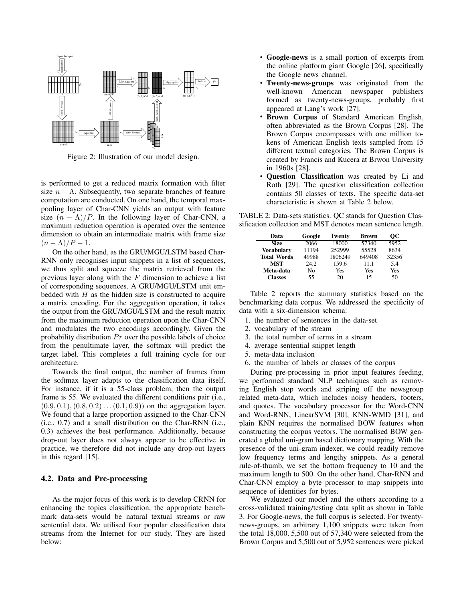

Figure 2: Illustration of our model design.

is performed to get a reduced matrix formation with filter size  $n - \Lambda$ . Subsequently, two separate branches of feature computation are conducted. On one hand, the temporal maxpooling layer of Char-CNN yields an output with feature size  $(n - \Lambda)/P$ . In the following layer of Char-CNN, a maximum reduction operation is operated over the sentence dimension to obtain an intermediate matrix with frame size  $(n - \Lambda)/P - 1$ .

On the other hand, as the GRU/MGU/LSTM based Char-RNN only recognises input snippets in a list of sequences, we thus split and squeeze the matrix retrieved from the previous layer along with the  $F$  dimension to achieve a list of corresponding sequences. A GRU/MGU/LSTM unit embedded with  $H$  as the hidden size is constructed to acquire a matrix encoding. For the aggregation operation, it takes the output from the GRU/MGU/LSTM and the result matrix from the maximum reduction operation upon the Char-CNN and modulates the two encodings accordingly. Given the probability distribution  $Pr$  over the possible labels of choice from the penultimate layer, the softmax will predict the target label. This completes a full training cycle for our architecture.

Towards the final output, the number of frames from the softmax layer adapts to the classification data itself. For instance, if it is a 55-class problem, then the output frame is 55. We evaluated the different conditions pair (i.e.,  $(0.9, 0.1), (0.8, 0.2) \dots (0.1, 0.9)$  on the aggregation layer. We found that a large proportion assigned to the Char-CNN (i.e., 0.7) and a small distribution on the Char-RNN (i.e., 0.3) achieves the best performance. Additionally, because drop-out layer does not always appear to be effective in practice, we therefore did not include any drop-out layers in this regard [15].

#### 4.2. Data and Pre-processing

As the major focus of this work is to develop CRNN for enhancing the topics classification, the appropriate benchmark data-sets would be natural textual streams or raw sentential data. We utilised four popular classification data streams from the Internet for our study. They are listed below:

- Google-news is a small portion of excerpts from the online platform giant Google [26], specifically the Google news channel.
- Twenty-news-groups was originated from the well-known American newspaper publishers formed as twenty-news-groups, probably first appeared at Lang's work [27].
- Brown Corpus of Standard American English, often abbreviated as the Brown Corpus [28]. The Brown Corpus encompasses with one million tokens of American English texts sampled from 15 different textual categories. The Brown Corpus is created by Francis and Kucera at Brwon University in 1960s [28].
- **Ouestion Classification** was created by Li and Roth [29]. The question classification collection contains 50 classes of texts. The specific data-set characteristic is shown at Table 2 below.

TABLE 2: Data-sets statistics. QC stands for Question Classification collection and MST denotes mean sentence length.

| Data               | Google | <b>Twenty</b> | Brown  | OС    |
|--------------------|--------|---------------|--------|-------|
| Size               | 2066   | 18000         | 57340  | 5952  |
| <b>Vocabulary</b>  | 11194  | 252999        | 55528  | 8634  |
| <b>Total Words</b> | 49988  | 1806249       | 649408 | 32356 |
| MST                | 24.2   | 159.6         | 11.1   | 5.4   |
| Meta-data          | No     | Yes           | Yes    | Yes   |
| <b>Classes</b>     | 55     | 20            | 15     | 50    |

Table 2 reports the summary statistics based on the benchmarking data corpus. We addressed the specificity of data with a six-dimension schema:

- 1. the number of sentences in the data-set
- 2. vocabulary of the stream
- 3. the total number of terms in a stream
- 4. average sentential snippet length
- 5. meta-data inclusion
- 6. the number of labels or classes of the corpus

During pre-processing in prior input features feeding, we performed standard NLP techniques such as removing English stop words and striping off the newsgroup related meta-data, which includes noisy headers, footers, and quotes. The vocabulary processor for the Word-CNN and Word-RNN, LinearSVM [30], KNN-WMD [31], and plain KNN requires the normalised BOW features when constructing the corpus vectors. The normalised BOW generated a global uni-gram based dictionary mapping. With the presence of the uni-gram indexer, we could readily remove low frequency terms and lengthy snippets. As a general rule-of-thumb, we set the bottom frequency to 10 and the maximum length to 500. On the other hand, Char-RNN and Char-CNN employ a byte processor to map snippets into sequence of identities for bytes.

We evaluated our model and the others according to a cross-validated training/testing data split as shown in Table 3. For Google-news, the full corpus is selected. For twentynews-groups, an arbitrary 1,100 snippets were taken from the total 18,000. 5,500 out of 57,340 were selected from the Brown Corpus and 5,500 out of 5,952 sentences were picked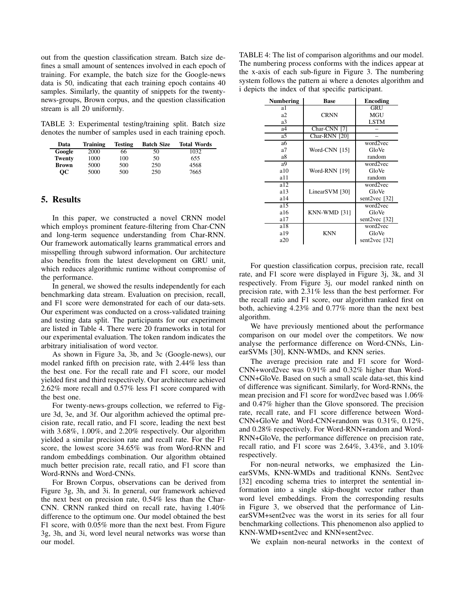out from the question classification stream. Batch size defines a small amount of sentences involved in each epoch of training. For example, the batch size for the Google-news data is 50, indicating that each training epoch contains 40 samples. Similarly, the quantity of snippets for the twentynews-groups, Brown corpus, and the question classification stream is all 20 uniformly.

TABLE 3: Experimental testing/training split. Batch size denotes the number of samples used in each training epoch.

| Data          | <b>Training</b> | <b>Testing</b> | <b>Batch Size</b> | <b>Total Words</b> |
|---------------|-----------------|----------------|-------------------|--------------------|
| Google        | 2000            | 66             | 50                | 1032               |
| <b>Twenty</b> | 1000            | 100            | 50                | 655                |
| <b>Brown</b>  | 5000            | 500            | 250               | 4568               |
| OС            | 5000            | 500            | 250               | 7665               |

## 5. Results

In this paper, we constructed a novel CRNN model which employs prominent feature-filtering from Char-CNN and long-term sequence understanding from Char-RNN. Our framework automatically learns grammatical errors and misspelling through subword information. Our architecture also benefits from the latest development on GRU unit, which reduces algorithmic runtime without compromise of the performance.

In general, we showed the results independently for each benchmarking data stream. Evaluation on precision, recall, and F1 score were demonstrated for each of our data-sets. Our experiment was conducted on a cross-validated training and testing data split. The participants for our experiment are listed in Table 4. There were 20 frameworks in total for our experimental evaluation. The token random indicates the arbitrary initialisation of word vector.

As shown in Figure 3a, 3b, and 3c (Google-news), our model ranked fifth on precision rate, with 2.44% less than the best one. For the recall rate and F1 score, our model yielded first and third respectively. Our architecture achieved 2.62% more recall and 0.57% less F1 score compared with the best one.

For twenty-news-groups collection, we referred to Figure 3d, 3e, and 3f. Our algorithm achieved the optimal precision rate, recall ratio, and F1 score, leading the next best with 3.68%, 1.00%, and 2.20% respectively. Our algorithm yielded a similar precision rate and recall rate. For the F1 score, the lowest score 34.65% was from Word-RNN and random embeddings combination. Our algorithm obtained much better precision rate, recall ratio, and F1 score than Word-RNNs and Word-CNNs.

For Brown Corpus, observations can be derived from Figure 3g, 3h, and 3i. In general, our framework achieved the next best on precision rate, 0.54% less than the Char-CNN. CRNN ranked third on recall rate, having 1.40% difference to the optimum one. Our model obtained the best F1 score, with 0.05% more than the next best. From Figure 3g, 3h, and 3i, word level neural networks was worse than our model.

TABLE 4: The list of comparison algorithms and our model. The numbering process conforms with the indices appear at the x-axis of each sub-figure in Figure 3. The numbering system follows the pattern ai where a denotes algorithm and i depicts the index of that specific participant.

| <b>Numbering</b> | <b>Base</b>    | <b>Encoding</b> |
|------------------|----------------|-----------------|
| a1               |                | GRU             |
| a2               | <b>CRNN</b>    | MGU             |
| a3               |                | <b>LSTM</b>     |
| a <sub>4</sub>   | Char-CNN [7]   |                 |
| a5               | Char-RNN [20]  |                 |
| aб               |                | word2vec        |
| a <sub>7</sub>   | Word-CNN [15]  | GloVe           |
| a8               |                | random          |
| a9               |                | word2vec        |
| a10              | Word-RNN [19]  | GloVe           |
| a11              |                | random          |
| a12              |                | word2vec        |
| a13              | LinearSVM [30] | GloVe           |
| a14              |                | sent2vec $[32]$ |
| a15              |                | word2vec        |
| a16              | KNN-WMD [31]   | GloVe           |
| a17              |                | sent2vec $[32]$ |
| a18              |                | word2vec        |
| a19              | <b>KNN</b>     | GloVe           |
| a20              |                | sent2vec [32]   |

For question classification corpus, precision rate, recall rate, and F1 score were displayed in Figure 3j, 3k, and 3l respectively. From Figure 3j, our model ranked ninth on precision rate, with 2.31% less than the best performer. For the recall ratio and F1 score, our algorithm ranked first on both, achieving 4.23% and 0.77% more than the next best algorithm.

We have previously mentioned about the performance comparison on our model over the competitors. We now analyse the performance difference on Word-CNNs, LinearSVMs [30], KNN-WMDs, and KNN series.

The average precision rate and F1 score for Word-CNN+word2vec was 0.91% and 0.32% higher than Word-CNN+GloVe. Based on such a small scale data-set, this kind of difference was significant. Similarly, for Word-RNNs, the mean precision and F1 score for word2vec based was 1.06% and 0.47% higher than the Glove sponsored. The precision rate, recall rate, and F1 score difference between Word-CNN+GloVe and Word-CNN+random was 0.31%, 0.12%, and 0.28% respectively. For Word-RNN+random and Word-RNN+GloVe, the performance difference on precision rate, recall ratio, and F1 score was 2.64%, 3.43%, and 3.10% respectively.

For non-neural networks, we emphasized the LinearSVMs, KNN-WMDs and traditional KNNs. Sent2vec [32] encoding schema tries to interpret the sentential information into a single skip-thought vector rather than word level embeddings. From the corresponding results in Figure 3, we observed that the performance of LinearSVM+sent2vec was the worst in its series for all four benchmarking collections. This phenomenon also applied to KNN-WMD+sent2vec and KNN+sent2vec.

We explain non-neural networks in the context of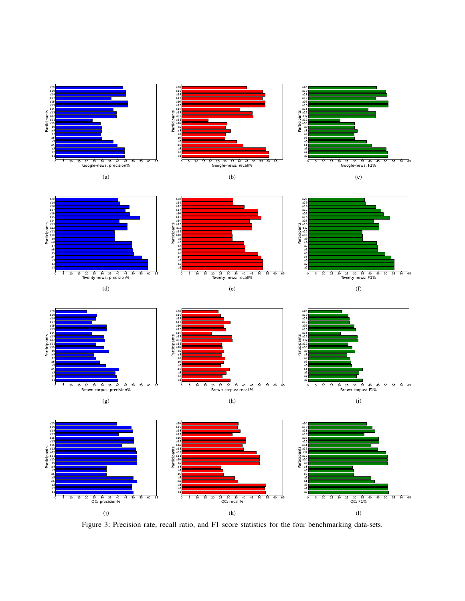

Figure 3: Precision rate, recall ratio, and F1 score statistics for the four benchmarking data-sets.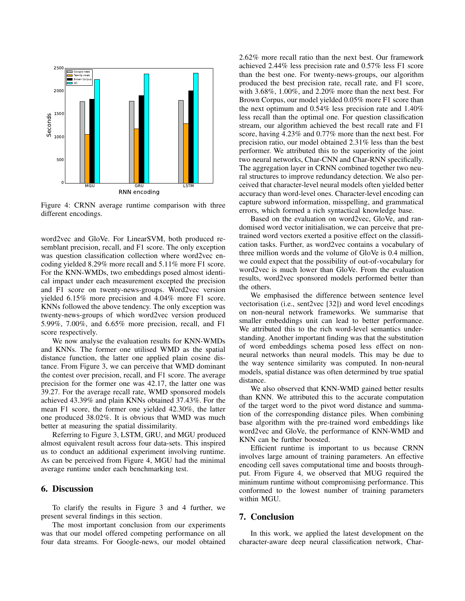

Figure 4: CRNN average runtime comparison with three different encodings.

word2vec and GloVe. For LinearSVM, both produced resemblant precision, recall, and F1 score. The only exception was question classification collection where word2vec encoding yielded 8.29% more recall and 5.11% more F1 score. For the KNN-WMDs, two embeddings posed almost identical impact under each measurement excepted the precision and F1 score on twenty-news-groups. Word2vec version yielded 6.15% more precision and 4.04% more F1 score. KNNs followed the above tendency. The only exception was twenty-news-groups of which word2vec version produced 5.99%, 7.00%, and 6.65% more precision, recall, and F1 score respectively.

We now analyse the evaluation results for KNN-WMDs and KNNs. The former one utilised WMD as the spatial distance function, the latter one applied plain cosine distance. From Figure 3, we can perceive that WMD dominant the contest over precision, recall, and F1 score. The average precision for the former one was 42.17, the latter one was 39.27. For the average recall rate, WMD sponsored models achieved 43.39% and plain KNNs obtained 37.43%. For the mean F1 score, the former one yielded 42.30%, the latter one produced 38.02%. It is obvious that WMD was much better at measuring the spatial dissimilarity.

Referring to Figure 3, LSTM, GRU, and MGU produced almost equivalent result across four data-sets. This inspired us to conduct an additional experiment involving runtime. As can be perceived from Figure 4, MGU had the minimal average runtime under each benchmarking test.

## 6. Discussion

To clarify the results in Figure 3 and 4 further, we present several findings in this section.

The most important conclusion from our experiments was that our model offered competing performance on all four data streams. For Google-news, our model obtained 2.62% more recall ratio than the next best. Our framework achieved 2.44% less precision rate and 0.57% less F1 score than the best one. For twenty-news-groups, our algorithm produced the best precision rate, recall rate, and F1 score, with 3.68%, 1.00%, and 2.20% more than the next best. For Brown Corpus, our model yielded 0.05% more F1 score than the next optimum and 0.54% less precision rate and 1.40% less recall than the optimal one. For question classification stream, our algorithm achieved the best recall rate and F1 score, having 4.23% and 0.77% more than the next best. For precision ratio, our model obtained 2.31% less than the best performer. We attributed this to the superiority of the joint two neural networks, Char-CNN and Char-RNN specifically. The aggregation layer in CRNN combined together two neural structures to improve redundancy detection. We also perceived that character-level neural models often yielded better accuracy than word-level ones. Character-level encoding can capture subword information, misspelling, and grammatical errors, which formed a rich syntactical knowledge base.

Based on the evaluation on word2vec, GloVe, and randomised word vector initialisation, we can perceive that pretrained word vectors exerted a positive effect on the classification tasks. Further, as word2vec contains a vocabulary of three million words and the volume of GloVe is 0.4 million, we could expect that the possibility of out-of-vocabulary for word2vec is much lower than GloVe. From the evaluation results, word2vec sponsored models performed better than the others.

We emphasised the difference between sentence level vectorisation (i.e., sent2vec [32]) and word level encodings on non-neural network frameworks. We summarise that smaller embeddings unit can lead to better performance. We attributed this to the rich word-level semantics understanding. Another important finding was that the substitution of word embeddings schema posed less effect on nonneural networks than neural models. This may be due to the way sentence similarity was computed. In non-neural models, spatial distance was often determined by true spatial distance.

We also observed that KNN-WMD gained better results than KNN. We attributed this to the accurate computation of the target word to the pivot word distance and summation of the corresponding distance piles. When combining base algorithm with the pre-trained word embeddings like word2vec and GloVe, the performance of KNN-WMD and KNN can be further boosted.

Efficient runtime is important to us because CRNN involves large amount of training parameters. An effective encoding cell saves computational time and boosts throughput. From Figure 4, we observed that MUG required the minimum runtime without compromising performance. This conformed to the lowest number of training parameters within MGU.

## 7. Conclusion

In this work, we applied the latest development on the character-aware deep neural classification network, Char